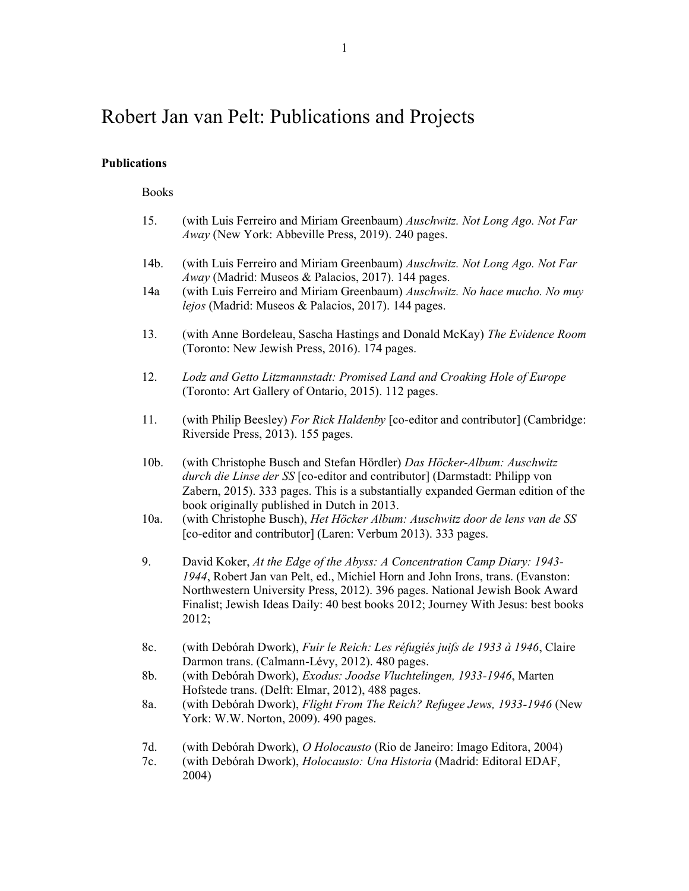# Robert Jan van Pelt: Publications and Projects

## **Publications**

Books

| 15.             | (with Luis Ferreiro and Miriam Greenbaum) Auschwitz. Not Long Ago. Not Far<br>Away (New York: Abbeville Press, 2019). 240 pages.                                                                                                                                                                                                                                       |
|-----------------|------------------------------------------------------------------------------------------------------------------------------------------------------------------------------------------------------------------------------------------------------------------------------------------------------------------------------------------------------------------------|
| 14b.            | (with Luis Ferreiro and Miriam Greenbaum) Auschwitz. Not Long Ago. Not Far<br>Away (Madrid: Museos & Palacios, 2017). 144 pages.                                                                                                                                                                                                                                       |
| 14a             | (with Luis Ferreiro and Miriam Greenbaum) Auschwitz. No hace mucho. No muy<br>lejos (Madrid: Museos & Palacios, 2017). 144 pages.                                                                                                                                                                                                                                      |
| 13.             | (with Anne Bordeleau, Sascha Hastings and Donald McKay) The Evidence Room<br>(Toronto: New Jewish Press, 2016). 174 pages.                                                                                                                                                                                                                                             |
| 12.             | Lodz and Getto Litzmannstadt: Promised Land and Croaking Hole of Europe<br>(Toronto: Art Gallery of Ontario, 2015). 112 pages.                                                                                                                                                                                                                                         |
| 11.             | (with Philip Beesley) For Rick Haldenby [co-editor and contributor] (Cambridge:<br>Riverside Press, 2013). 155 pages.                                                                                                                                                                                                                                                  |
| 10b.<br>$10a$ . | (with Christophe Busch and Stefan Hördler) Das Höcker-Album: Auschwitz<br>durch die Linse der SS [co-editor and contributor] (Darmstadt: Philipp von<br>Zabern, 2015). 333 pages. This is a substantially expanded German edition of the<br>book originally published in Dutch in 2013.<br>(with Christophe Busch), Het Höcker Album: Auschwitz door de lens van de SS |
|                 | [co-editor and contributor] (Laren: Verbum 2013). 333 pages.                                                                                                                                                                                                                                                                                                           |
| 9.              | David Koker, At the Edge of the Abyss: A Concentration Camp Diary: 1943-<br>1944, Robert Jan van Pelt, ed., Michiel Horn and John Irons, trans. (Evanston:<br>Northwestern University Press, 2012). 396 pages. National Jewish Book Award<br>Finalist; Jewish Ideas Daily: 40 best books 2012; Journey With Jesus: best books<br>2012;                                 |
| 8c.             | (with Debórah Dwork), Fuir le Reich: Les réfugiés juifs de 1933 à 1946, Claire<br>Darmon trans. (Calmann-Lévy, 2012). 480 pages.                                                                                                                                                                                                                                       |
| 8b.             | (with Debórah Dwork), Exodus: Joodse Vluchtelingen, 1933-1946, Marten<br>Hofstede trans. (Delft: Elmar, 2012), 488 pages.                                                                                                                                                                                                                                              |
| 8a.             | (with Debórah Dwork), Flight From The Reich? Refugee Jews, 1933-1946 (New<br>York: W.W. Norton, 2009). 490 pages.                                                                                                                                                                                                                                                      |
| 7d.<br>7c.      | (with Debórah Dwork), O Holocausto (Rio de Janeiro: Imago Editora, 2004)<br>(with Debórah Dwork), Holocausto: Una Historia (Madrid: Editoral EDAF,<br>2004)                                                                                                                                                                                                            |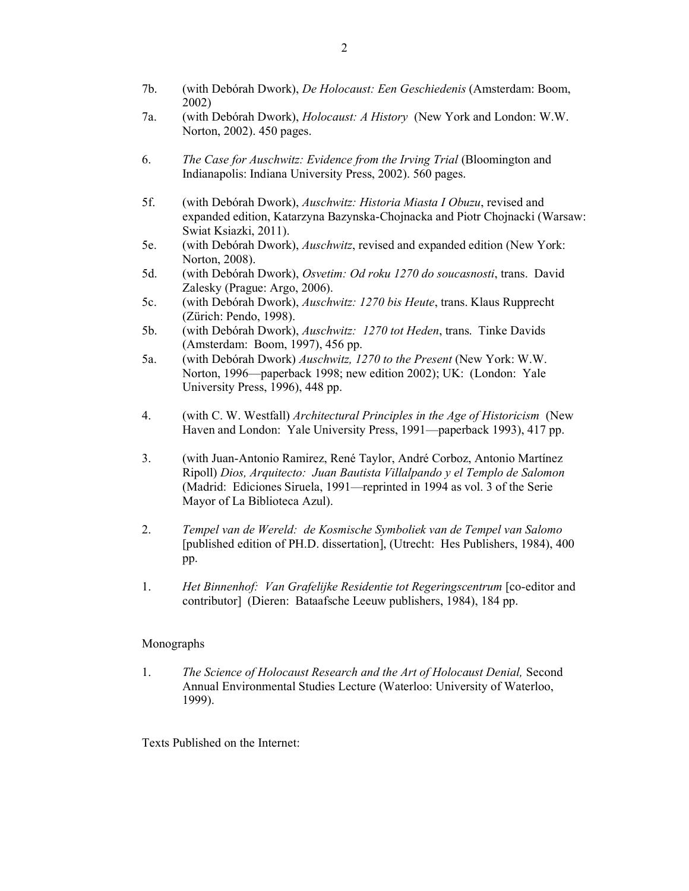- 7b. (with Debórah Dwork), *De Holocaust: Een Geschiedenis* (Amsterdam: Boom, 2002)
- 7a. (with Debórah Dwork), *Holocaust: A History* (New York and London: W.W. Norton, 2002). 450 pages.
- 6. *The Case for Auschwitz: Evidence from the Irving Trial* (Bloomington and Indianapolis: Indiana University Press, 2002). 560 pages.
- 5f. (with Debórah Dwork), *Auschwitz: Historia Miasta I Obuzu*, revised and expanded edition, Katarzyna Bazynska-Chojnacka and Piotr Chojnacki (Warsaw: Swiat Ksiazki, 2011).
- 5e. (with Debórah Dwork), *Auschwitz*, revised and expanded edition (New York: Norton, 2008).
- 5d. (with Debórah Dwork), *Osvetim: Od roku 1270 do soucasnosti*, trans. David Zalesky (Prague: Argo, 2006).
- 5c. (with Debórah Dwork), *Auschwitz: 1270 bis Heute*, trans. Klaus Rupprecht (Zürich: Pendo, 1998).
- 5b. (with Debórah Dwork), *Auschwitz: 1270 tot Heden*, trans. Tinke Davids (Amsterdam: Boom, 1997), 456 pp.
- 5a. (with Debórah Dwork) *Auschwitz, 1270 to the Present* (New York: W.W. Norton, 1996—paperback 1998; new edition 2002); UK: (London: Yale University Press, 1996), 448 pp.
- 4. (with C. W. Westfall) *Architectural Principles in the Age of Historicism* (New Haven and London: Yale University Press, 1991—paperback 1993), 417 pp.
- 3. (with Juan-Antonio Ramirez, René Taylor, André Corboz, Antonio Martínez Ripoll) *Dios, Arquitecto: Juan Bautista Villalpando y el Templo de Salomon*  (Madrid: Ediciones Siruela, 1991—reprinted in 1994 as vol. 3 of the Serie Mayor of La Biblioteca Azul).
- 2. *Tempel van de Wereld: de Kosmische Symboliek van de Tempel van Salomo* [published edition of PH.D. dissertation], (Utrecht: Hes Publishers, 1984), 400 pp.
- 1. *Het Binnenhof: Van Grafelijke Residentie tot Regeringscentrum* [co-editor and contributor] (Dieren: Bataafsche Leeuw publishers, 1984), 184 pp.

### Monographs

1. *The Science of Holocaust Research and the Art of Holocaust Denial,* Second Annual Environmental Studies Lecture (Waterloo: University of Waterloo, 1999).

Texts Published on the Internet: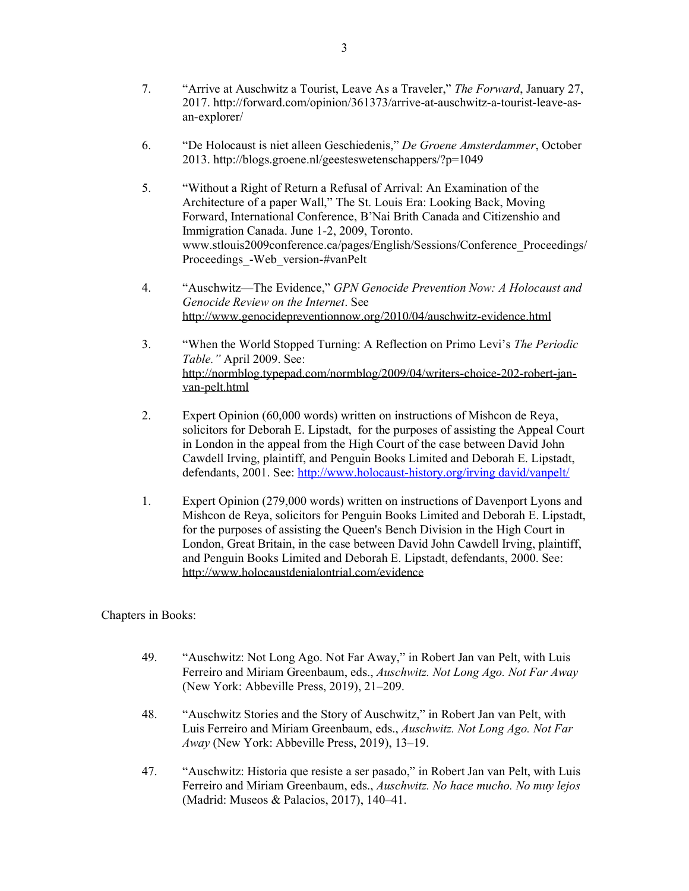- 7. "Arrive at Auschwitz a Tourist, Leave As a Traveler," *The Forward*, January 27, 2017. http://forward.com/opinion/361373/arrive-at-auschwitz-a-tourist-leave-asan-explorer/
- 6. "De Holocaust is niet alleen Geschiedenis," *De Groene Amsterdammer*, October 2013. http://blogs.groene.nl/geesteswetenschappers/?p=1049
- 5. "Without a Right of Return a Refusal of Arrival: An Examination of the Architecture of a paper Wall," The St. Louis Era: Looking Back, Moving Forward, International Conference, B'Nai Brith Canada and Citizenshio and Immigration Canada. June 1-2, 2009, Toronto. www.stlouis2009conference.ca/pages/English/Sessions/Conference\_Proceedings/ Proceedings\_-Web\_version-#vanPelt
- 4. "Auschwitz—The Evidence," *GPN Genocide Prevention Now: A Holocaust and Genocide Review on the Internet*. See http://www.genocidepreventionnow.org/2010/04/auschwitz-evidence.html
- 3. "When the World Stopped Turning: A Reflection on Primo Levi's *The Periodic Table."* April 2009. See: http://normblog.typepad.com/normblog/2009/04/writers-choice-202-robert-janvan-pelt.html
- 2. Expert Opinion (60,000 words) written on instructions of Mishcon de Reya, solicitors for Deborah E. Lipstadt, for the purposes of assisting the Appeal Court in London in the appeal from the High Court of the case between David John Cawdell Irving, plaintiff, and Penguin Books Limited and Deborah E. Lipstadt, defendants, 2001. See: [http://www.holocaust-history.org/irving david/vanpelt/](http://www.holocaust-history.org/irving%20david/vanpelt/)
- 1. Expert Opinion (279,000 words) written on instructions of Davenport Lyons and Mishcon de Reya, solicitors for Penguin Books Limited and Deborah E. Lipstadt, for the purposes of assisting the Queen's Bench Division in the High Court in London, Great Britain, in the case between David John Cawdell Irving, plaintiff, and Penguin Books Limited and Deborah E. Lipstadt, defendants, 2000. See: http://www.holocaustdenialontrial.com/evidence

Chapters in Books:

- 49. "Auschwitz: Not Long Ago. Not Far Away," in Robert Jan van Pelt, with Luis Ferreiro and Miriam Greenbaum, eds., *Auschwitz. Not Long Ago. Not Far Away* (New York: Abbeville Press, 2019), 21–209.
- 48. "Auschwitz Stories and the Story of Auschwitz," in Robert Jan van Pelt, with Luis Ferreiro and Miriam Greenbaum, eds., *Auschwitz. Not Long Ago. Not Far Away* (New York: Abbeville Press, 2019), 13–19.
- 47. "Auschwitz: Historia que resiste a ser pasado," in Robert Jan van Pelt, with Luis Ferreiro and Miriam Greenbaum, eds., *Auschwitz. No hace mucho. No muy lejos* (Madrid: Museos & Palacios, 2017), 140–41.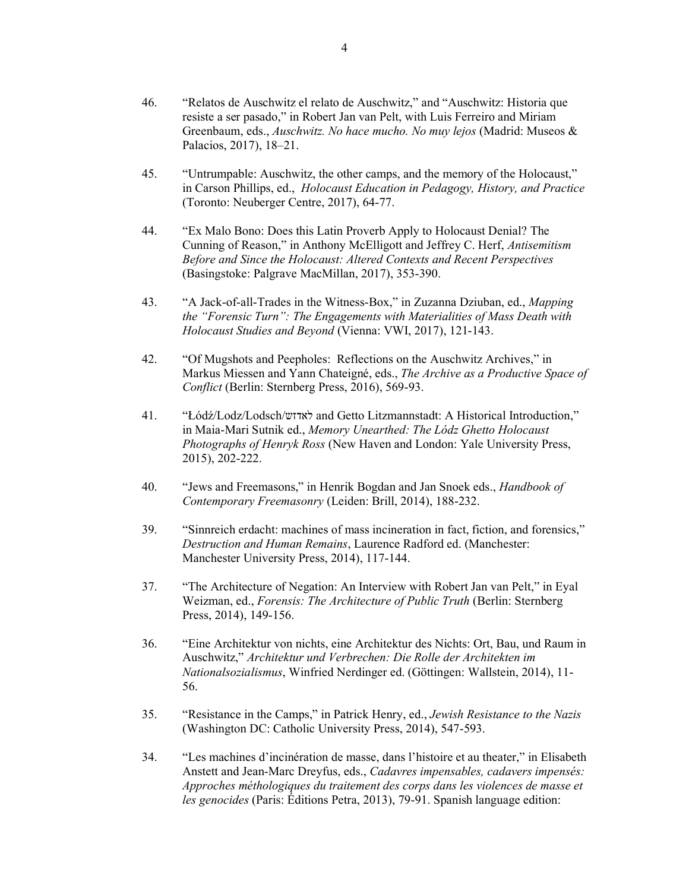- 45. "Untrumpable: Auschwitz, the other camps, and the memory of the Holocaust," in Carson Phillips, ed., *Holocaust Education in Pedagogy, History, and Practice* (Toronto: Neuberger Centre, 2017), 64-77.
- 44. "Ex Malo Bono: Does this Latin Proverb Apply to Holocaust Denial? The Cunning of Reason," in Anthony McElligott and Jeffrey C. Herf, *Antisemitism Before and Since the Holocaust: Altered Contexts and Recent Perspectives* (Basingstoke: Palgrave MacMillan, 2017), 353-390.
- 43. "A Jack-of-all-Trades in the Witness-Box," in Zuzanna Dziuban, ed., *Mapping the "Forensic Turn": The Engagements with Materialities of Mass Death with Holocaust Studies and Beyond* (Vienna: VWI, 2017), 121-143.
- 42. "Of Mugshots and Peepholes: Reflections on the Auschwitz Archives," in Markus Miessen and Yann Chateigné, eds., *The Archive as a Productive Space of Conflict* (Berlin: Sternberg Press, 2016), 569-93.
- 41. "Łódź/Lodz/Lodsch/לאדזש and Getto Litzmannstadt: A Historical Introduction," in Maia-Mari Sutnik ed., *Memory Unearthed: The Lódz Ghetto Holocaust Photographs of Henryk Ross* (New Haven and London: Yale University Press, 2015), 202-222.
- 40. "Jews and Freemasons," in Henrik Bogdan and Jan Snoek eds., *Handbook of Contemporary Freemasonry* (Leiden: Brill, 2014), 188-232.
- 39. "Sinnreich erdacht: machines of mass incineration in fact, fiction, and forensics," *Destruction and Human Remains*, Laurence Radford ed. (Manchester: Manchester University Press, 2014), 117-144.
- 37. "The Architecture of Negation: An Interview with Robert Jan van Pelt," in Eyal Weizman, ed., *Forensis: The Architecture of Public Truth* (Berlin: Sternberg Press, 2014), 149-156.
- 36. "Eine Architektur von nichts, eine Architektur des Nichts: Ort, Bau, und Raum in Auschwitz," *Architektur und Verbrechen: Die Rolle der Architekten im Nationalsozialismus*, Winfried Nerdinger ed. (Göttingen: Wallstein, 2014), 11- 56.
- 35. "Resistance in the Camps," in Patrick Henry, ed., *Jewish Resistance to the Nazis* (Washington DC: Catholic University Press, 2014), 547-593.
- 34. "Les machines d'incinération de masse, dans l'histoire et au theater," in Elisabeth Anstett and Jean-Marc Dreyfus, eds., *Cadavres impensables, cadavers impensés: Approches méthologiques du traitement des corps dans les violences de masse et les genocides* (Paris: Éditions Petra, 2013), 79-91. Spanish language edition: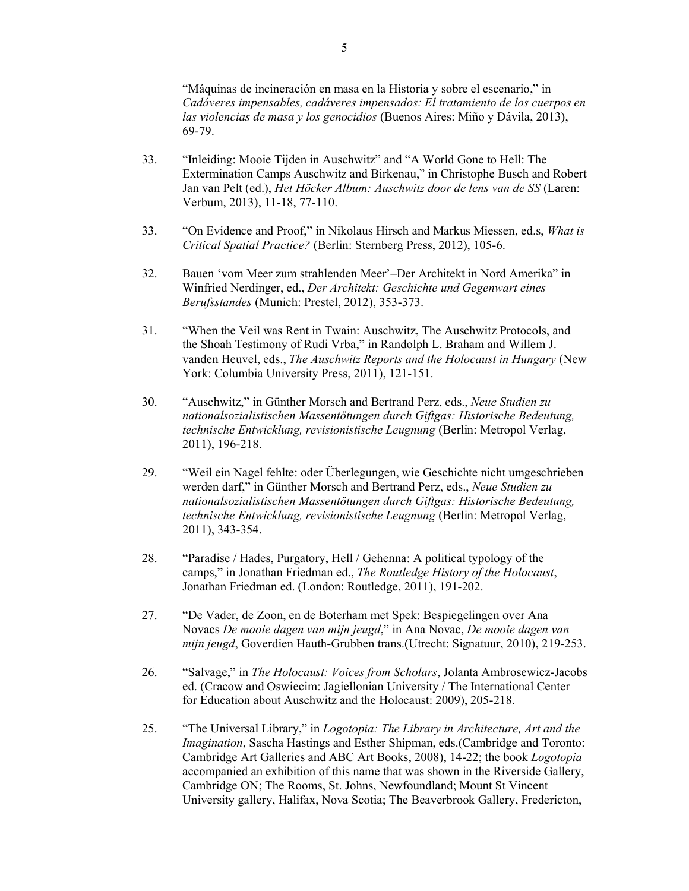"Máquinas de incineración en masa en la Historia y sobre el escenario," in *Cadáveres impensables, cadáveres impensados: El tratamiento de los cuerpos en las violencias de masa y los genocidios* (Buenos Aires: Miño y Dávila, 2013), 69-79.

- 33. "Inleiding: Mooie Tijden in Auschwitz" and "A World Gone to Hell: The Extermination Camps Auschwitz and Birkenau," in Christophe Busch and Robert Jan van Pelt (ed.), *Het Höcker Album: Auschwitz door de lens van de SS* (Laren: Verbum, 2013), 11-18, 77-110.
- 33. "On Evidence and Proof," in Nikolaus Hirsch and Markus Miessen, ed.s, *What is Critical Spatial Practice?* (Berlin: Sternberg Press, 2012), 105-6.
- 32. Bauen 'vom Meer zum strahlenden Meer'–Der Architekt in Nord Amerika" in Winfried Nerdinger, ed., *Der Architekt: Geschichte und Gegenwart eines Berufsstandes* (Munich: Prestel, 2012), 353-373.
- 31. "When the Veil was Rent in Twain: Auschwitz, The Auschwitz Protocols, and the Shoah Testimony of Rudi Vrba," in Randolph L. Braham and Willem J. vanden Heuvel, eds., *The Auschwitz Reports and the Holocaust in Hungary* (New York: Columbia University Press, 2011), 121-151.
- 30. "Auschwitz," in Günther Morsch and Bertrand Perz, eds., *Neue Studien zu nationalsozialistischen Massentötungen durch Giftgas: Historische Bedeutung, technische Entwicklung, revisionistische Leugnung* (Berlin: Metropol Verlag, 2011), 196-218.
- 29. "Weil ein Nagel fehlte: oder Überlegungen, wie Geschichte nicht umgeschrieben werden darf," in Günther Morsch and Bertrand Perz, eds., *Neue Studien zu nationalsozialistischen Massentötungen durch Giftgas: Historische Bedeutung, technische Entwicklung, revisionistische Leugnung* (Berlin: Metropol Verlag, 2011), 343-354.
- 28. "Paradise / Hades, Purgatory, Hell / Gehenna: A political typology of the camps," in Jonathan Friedman ed., *The Routledge History of the Holocaust*, Jonathan Friedman ed. (London: Routledge, 2011), 191-202.
- 27. "De Vader, de Zoon, en de Boterham met Spek: Bespiegelingen over Ana Novacs *De mooie dagen van mijn jeugd*," in Ana Novac, *De mooie dagen van mijn jeugd*, Goverdien Hauth-Grubben trans.(Utrecht: Signatuur, 2010), 219-253.
- 26. "Salvage," in *The Holocaust: Voices from Scholars*, Jolanta Ambrosewicz-Jacobs ed. (Cracow and Oswiecim: Jagiellonian University / The International Center for Education about Auschwitz and the Holocaust: 2009), 205-218.
- 25. "The Universal Library," in *Logotopia: The Library in Architecture, Art and the Imagination*, Sascha Hastings and Esther Shipman, eds.(Cambridge and Toronto: Cambridge Art Galleries and ABC Art Books, 2008), 14-22; the book *Logotopia* accompanied an exhibition of this name that was shown in the Riverside Gallery, Cambridge ON; The Rooms, St. Johns, Newfoundland; Mount St Vincent University gallery, Halifax, Nova Scotia; The Beaverbrook Gallery, Fredericton,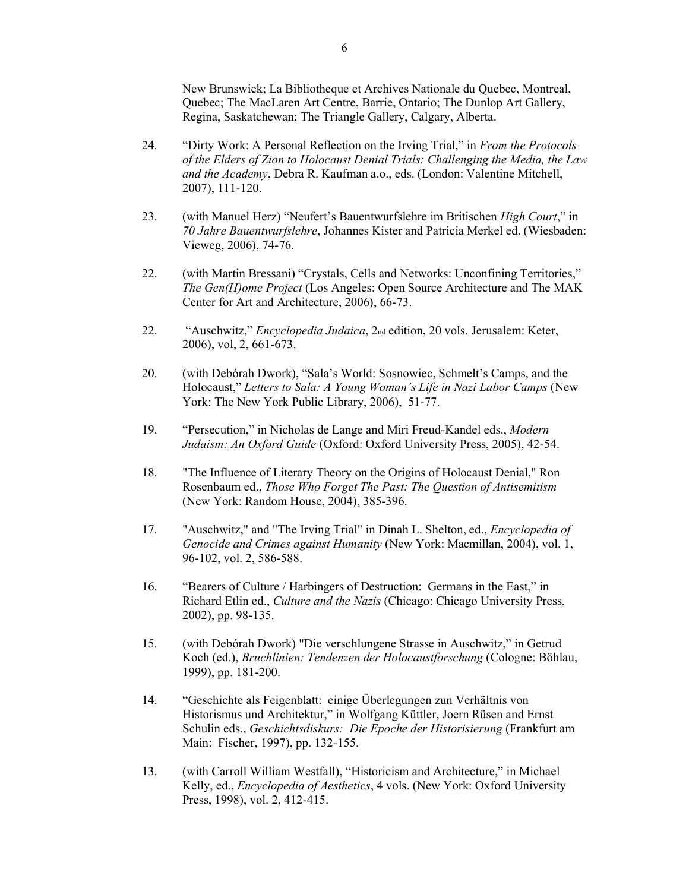New Brunswick; La Bibliotheque et Archives Nationale du Quebec, Montreal, Quebec; The MacLaren Art Centre, Barrie, Ontario; The Dunlop Art Gallery, Regina, Saskatchewan; The Triangle Gallery, Calgary, Alberta.

- 24. "Dirty Work: A Personal Reflection on the Irving Trial," in *From the Protocols of the Elders of Zion to Holocaust Denial Trials: Challenging the Media, the Law and the Academy*, Debra R. Kaufman a.o., eds. (London: Valentine Mitchell, 2007), 111-120.
- 23. (with Manuel Herz) "Neufert's Bauentwurfslehre im Britischen *High Court*," in *70 Jahre Bauentwurfslehre*, Johannes Kister and Patricia Merkel ed. (Wiesbaden: Vieweg, 2006), 74-76.
- 22. (with Martin Bressani) "Crystals, Cells and Networks: Unconfining Territories," *The Gen(H)ome Project* (Los Angeles: Open Source Architecture and The MAK Center for Art and Architecture, 2006), 66-73.
- 22. "Auschwitz," *Encyclopedia Judaica*, 2<sub>nd</sub> edition, 20 vols. Jerusalem: Keter, 2006), vol, 2, 661-673.
- 20. (with Debórah Dwork), "Sala's World: Sosnowiec, Schmelt's Camps, and the Holocaust," *Letters to Sala: A Young Woman's Life in Nazi Labor Camps* (New York: The New York Public Library, 2006), 51-77.
- 19. "Persecution," in Nicholas de Lange and Miri Freud-Kandel eds., *Modern Judaism: An Oxford Guide* (Oxford: Oxford University Press, 2005), 42-54.
- 18. "The Influence of Literary Theory on the Origins of Holocaust Denial," Ron Rosenbaum ed., *Those Who Forget The Past: The Question of Antisemitism*  (New York: Random House, 2004), 385-396.
- 17. "Auschwitz," and "The Irving Trial" in Dinah L. Shelton, ed., *Encyclopedia of Genocide and Crimes against Humanity* (New York: Macmillan, 2004), vol. 1, 96-102, vol. 2, 586-588.
- 16. "Bearers of Culture / Harbingers of Destruction: Germans in the East," in Richard Etlin ed., *Culture and the Nazis* (Chicago: Chicago University Press, 2002), pp. 98-135.
- 15. (with Debórah Dwork) "Die verschlungene Strasse in Auschwitz," in Getrud Koch (ed.), *Bruchlinien: Tendenzen der Holocaustforschung* (Cologne: Böhlau, 1999), pp. 181-200.
- 14. "Geschichte als Feigenblatt: einige Überlegungen zun Verhältnis von Historismus und Architektur," in Wolfgang Küttler, Joern Rüsen and Ernst Schulin eds., *Geschichtsdiskurs: Die Epoche der Historisierung* (Frankfurt am Main: Fischer, 1997), pp. 132-155.
- 13. (with Carroll William Westfall), "Historicism and Architecture," in Michael Kelly, ed., *Encyclopedia of Aesthetics*, 4 vols. (New York: Oxford University Press, 1998), vol. 2, 412-415.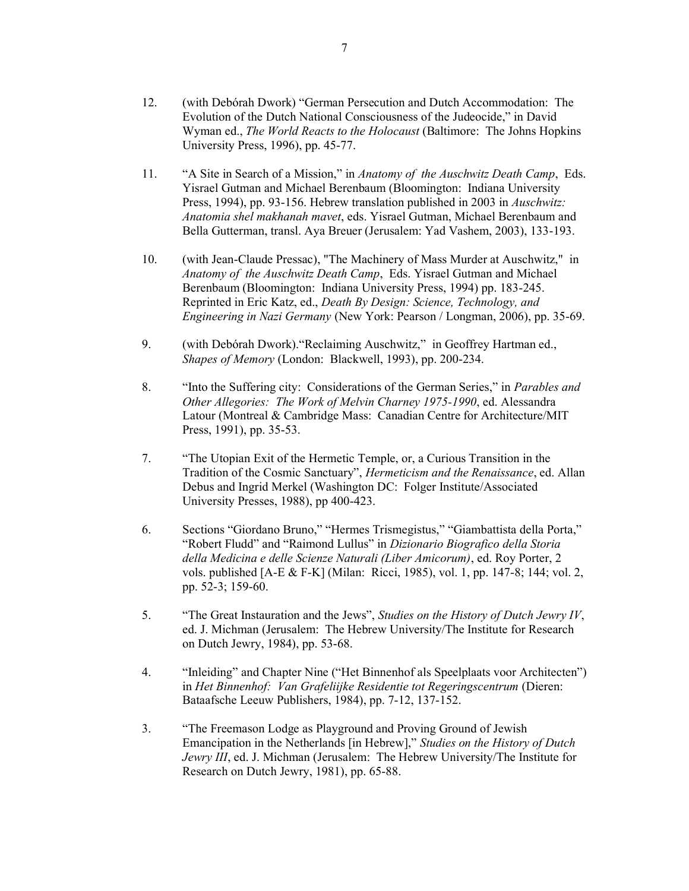- 12. (with Debórah Dwork) "German Persecution and Dutch Accommodation: The Evolution of the Dutch National Consciousness of the Judeocide," in David Wyman ed., *The World Reacts to the Holocaust* (Baltimore: The Johns Hopkins University Press, 1996), pp. 45-77.
- 11. "A Site in Search of a Mission," in *Anatomy of the Auschwitz Death Camp*, Eds. Yisrael Gutman and Michael Berenbaum (Bloomington: Indiana University Press, 1994), pp. 93-156. Hebrew translation published in 2003 in *Auschwitz: Anatomia shel makhanah mavet*, eds. Yisrael Gutman, Michael Berenbaum and Bella Gutterman, transl. Aya Breuer (Jerusalem: Yad Vashem, 2003), 133-193.
- 10. (with Jean-Claude Pressac), "The Machinery of Mass Murder at Auschwitz," in *Anatomy of the Auschwitz Death Camp*, Eds. Yisrael Gutman and Michael Berenbaum (Bloomington: Indiana University Press, 1994) pp. 183-245. Reprinted in Eric Katz, ed., *Death By Design: Science, Technology, and Engineering in Nazi Germany* (New York: Pearson / Longman, 2006), pp. 35-69.
- 9. (with Debórah Dwork)."Reclaiming Auschwitz," in Geoffrey Hartman ed., *Shapes of Memory* (London: Blackwell, 1993), pp. 200-234.
- 8. "Into the Suffering city: Considerations of the German Series," in *Parables and Other Allegories: The Work of Melvin Charney 1975-1990*, ed. Alessandra Latour (Montreal & Cambridge Mass: Canadian Centre for Architecture/MIT Press, 1991), pp. 35-53.
- 7. "The Utopian Exit of the Hermetic Temple, or, a Curious Transition in the Tradition of the Cosmic Sanctuary", *Hermeticism and the Renaissance*, ed. Allan Debus and Ingrid Merkel (Washington DC: Folger Institute/Associated University Presses, 1988), pp 400-423.
- 6. Sections "Giordano Bruno," "Hermes Trismegistus," "Giambattista della Porta," "Robert Fludd" and "Raimond Lullus" in *Dizionario Biografico della Storia della Medicina e delle Scienze Naturali (Liber Amicorum)*, ed. Roy Porter, 2 vols. published [A-E & F-K] (Milan: Ricci, 1985), vol. 1, pp. 147-8; 144; vol. 2, pp. 52-3; 159-60.
- 5. "The Great Instauration and the Jews", *Studies on the History of Dutch Jewry IV*, ed. J. Michman (Jerusalem: The Hebrew University/The Institute for Research on Dutch Jewry, 1984), pp. 53-68.
- 4. "Inleiding" and Chapter Nine ("Het Binnenhof als Speelplaats voor Architecten") in *Het Binnenhof: Van Grafeliijke Residentie tot Regeringscentrum* (Dieren: Bataafsche Leeuw Publishers, 1984), pp. 7-12, 137-152.
- 3. "The Freemason Lodge as Playground and Proving Ground of Jewish Emancipation in the Netherlands [in Hebrew]," *Studies on the History of Dutch Jewry III*, ed. J. Michman (Jerusalem: The Hebrew University/The Institute for Research on Dutch Jewry, 1981), pp. 65-88.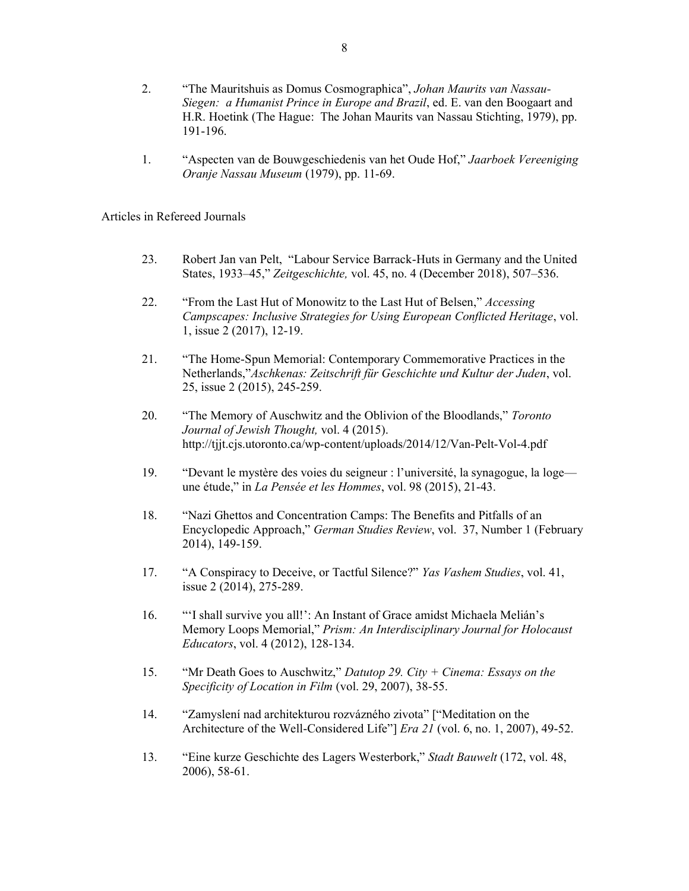- 2. "The Mauritshuis as Domus Cosmographica", *Johan Maurits van Nassau-Siegen: a Humanist Prince in Europe and Brazil*, ed. E. van den Boogaart and H.R. Hoetink (The Hague: The Johan Maurits van Nassau Stichting, 1979), pp. 191-196.
- 1. "Aspecten van de Bouwgeschiedenis van het Oude Hof," *Jaarboek Vereeniging Oranje Nassau Museum* (1979), pp. 11-69.

Articles in Refereed Journals

- 23. Robert Jan van Pelt, "Labour Service Barrack-Huts in Germany and the United States, 1933–45," *Zeitgeschichte,* vol. 45, no. 4 (December 2018), 507–536.
- 22. "From the Last Hut of Monowitz to the Last Hut of Belsen," *Accessing Campscapes: Inclusive Strategies for Using European Conflicted Heritage*, vol. 1, issue 2 (2017), 12-19.
- 21. "The Home-Spun Memorial: Contemporary Commemorative Practices in the Netherlands,"*Aschkenas: Zeitschrift für Geschichte und Kultur der Juden*, vol. 25, issue 2 (2015), 245-259.
- 20. "The Memory of Auschwitz and the Oblivion of the Bloodlands," *Toronto Journal of Jewish Thought,* vol. 4 (2015). http://tjjt.cjs.utoronto.ca/wp-content/uploads/2014/12/Van-Pelt-Vol-4.pdf
- 19. "Devant le mystère des voies du seigneur : l'université, la synagogue, la loge une étude," in *La Pensée et les Hommes*, vol. 98 (2015), 21-43.
- 18. "Nazi Ghettos and Concentration Camps: The Benefits and Pitfalls of an Encyclopedic Approach," *German Studies Review*, vol. 37, Number 1 (February 2014), 149-159.
- 17. "A Conspiracy to Deceive, or Tactful Silence?" *Yas Vashem Studies*, vol. 41, issue 2 (2014), 275-289.
- 16. "'I shall survive you all!': An Instant of Grace amidst Michaela Melián's Memory Loops Memorial," *Prism: An Interdisciplinary Journal for Holocaust Educators*, vol. 4 (2012), 128-134.
- 15. "Mr Death Goes to Auschwitz," *Datutop 29. City + Cinema: Essays on the Specificity of Location in Film* (vol. 29, 2007), 38-55.
- 14. "Zamyslení nad architekturou rozvázného zivota" ["Meditation on the Architecture of the Well-Considered Life"] *Era 21* (vol. 6, no. 1, 2007), 49-52.
- 13. "Eine kurze Geschichte des Lagers Westerbork," *Stadt Bauwelt* (172, vol. 48, 2006), 58-61.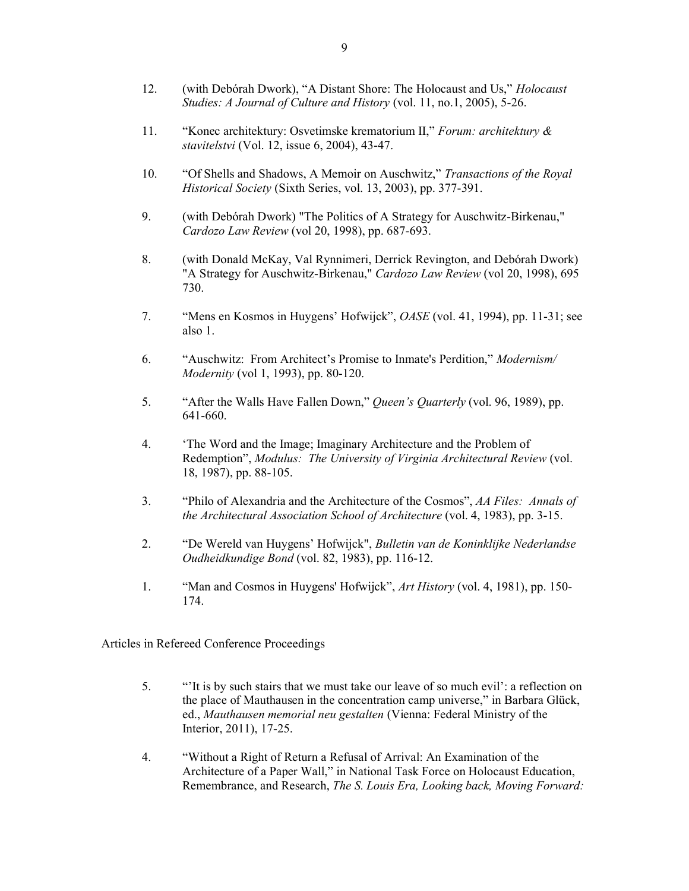- 12. (with Debórah Dwork), "A Distant Shore: The Holocaust and Us," *Holocaust Studies: A Journal of Culture and History* (vol. 11, no.1, 2005), 5-26.
- 11. "Konec architektury: Osvetimske krematorium II," *Forum: architektury & stavitelstvi* (Vol. 12, issue 6, 2004), 43-47.
- 10. "Of Shells and Shadows, A Memoir on Auschwitz," *Transactions of the Royal Historical Society* (Sixth Series, vol. 13, 2003), pp. 377-391.
- 9. (with Debórah Dwork) "The Politics of A Strategy for Auschwitz-Birkenau," *Cardozo Law Review* (vol 20, 1998), pp. 687-693.
- 8. (with Donald McKay, Val Rynnimeri, Derrick Revington, and Debórah Dwork) "A Strategy for Auschwitz-Birkenau," *Cardozo Law Review* (vol 20, 1998), 695 730.
- 7. "Mens en Kosmos in Huygens' Hofwijck", *OASE* (vol. 41, 1994), pp. 11-31; see also 1.
- 6. "Auschwitz: From Architect's Promise to Inmate's Perdition," *Modernism/ Modernity* (vol 1, 1993), pp. 80-120.
- 5. "After the Walls Have Fallen Down," *Queen's Quarterly* (vol. 96, 1989), pp. 641-660.
- 4. 'The Word and the Image; Imaginary Architecture and the Problem of Redemption", *Modulus: The University of Virginia Architectural Review* (vol. 18, 1987), pp. 88-105.
- 3. "Philo of Alexandria and the Architecture of the Cosmos", *AA Files: Annals of the Architectural Association School of Architecture* (vol. 4, 1983), pp. 3-15.
- 2. "De Wereld van Huygens' Hofwijck", *Bulletin van de Koninklijke Nederlandse Oudheidkundige Bond* (vol. 82, 1983), pp. 116-12.
- 1. "Man and Cosmos in Huygens' Hofwijck", *Art History* (vol. 4, 1981), pp. 150- 174.

Articles in Refereed Conference Proceedings

- 5. "'It is by such stairs that we must take our leave of so much evil': a reflection on the place of Mauthausen in the concentration camp universe," in Barbara Glück, ed., *Mauthausen memorial neu gestalten* (Vienna: Federal Ministry of the Interior, 2011), 17-25.
- 4. "Without a Right of Return a Refusal of Arrival: An Examination of the Architecture of a Paper Wall," in National Task Force on Holocaust Education, Remembrance, and Research, *The S. Louis Era, Looking back, Moving Forward:*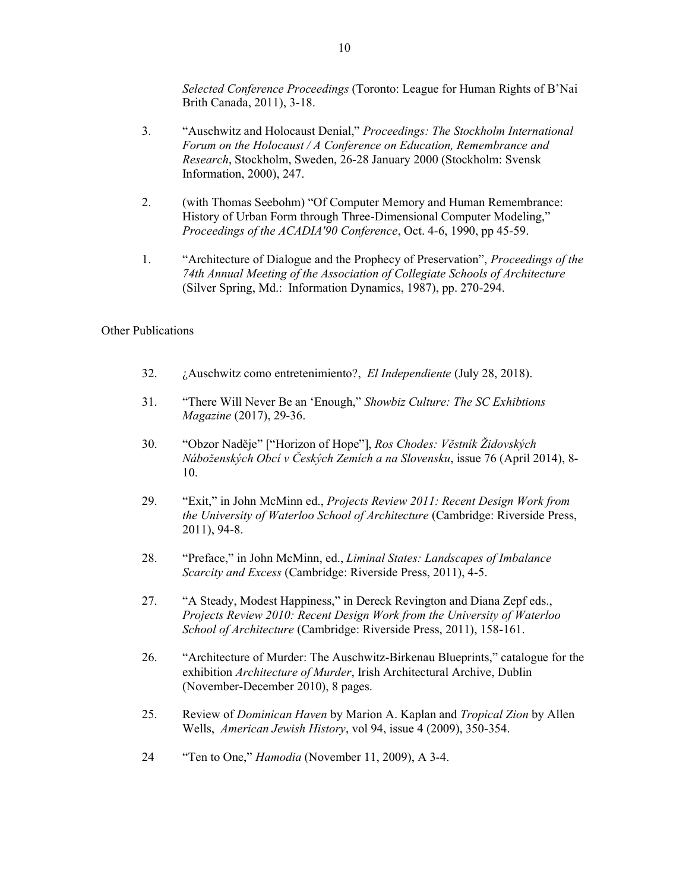*Selected Conference Proceedings* (Toronto: League for Human Rights of B'Nai Brith Canada, 2011), 3-18.

- 3. "Auschwitz and Holocaust Denial," *Proceedings: The Stockholm International Forum on the Holocaust / A Conference on Education, Remembrance and Research*, Stockholm, Sweden, 26-28 January 2000 (Stockholm: Svensk Information, 2000), 247.
- 2. (with Thomas Seebohm) "Of Computer Memory and Human Remembrance: History of Urban Form through Three-Dimensional Computer Modeling," *Proceedings of the ACADIA'90 Conference*, Oct. 4-6, 1990, pp 45-59.
- 1. "Architecture of Dialogue and the Prophecy of Preservation", *Proceedings of the 74th Annual Meeting of the Association of Collegiate Schools of Architecture* (Silver Spring, Md.: Information Dynamics, 1987), pp. 270-294.

### Other Publications

- 32. ¿Auschwitz como entretenimiento?, *El Independiente* (July 28, 2018).
- 31. "There Will Never Be an 'Enough," *Showbiz Culture: The SC Exhibtions Magazine* (2017), 29-36.
- 30. "Obzor Naděje" ["Horizon of Hope"], *Ros Chodes: Věstník Židovských Náboženských Obcí v Českých Zemích a na Slovensku*, issue 76 (April 2014), 8- 10.
- 29. "Exit," in John McMinn ed., *Projects Review 2011: Recent Design Work from the University of Waterloo School of Architecture* (Cambridge: Riverside Press, 2011), 94-8.
- 28. "Preface," in John McMinn, ed., *Liminal States: Landscapes of Imbalance Scarcity and Excess* (Cambridge: Riverside Press, 2011), 4-5.
- 27. "A Steady, Modest Happiness," in Dereck Revington and Diana Zepf eds., *Projects Review 2010: Recent Design Work from the University of Waterloo School of Architecture* (Cambridge: Riverside Press, 2011), 158-161.
- 26. "Architecture of Murder: The Auschwitz-Birkenau Blueprints," catalogue for the exhibition *Architecture of Murder*, Irish Architectural Archive, Dublin (November-December 2010), 8 pages.
- 25. Review of *Dominican Haven* by Marion A. Kaplan and *Tropical Zion* by Allen Wells, *American Jewish History*, vol 94, issue 4 (2009), 350-354.
- 24 "Ten to One," *Hamodia* (November 11, 2009), A 3-4.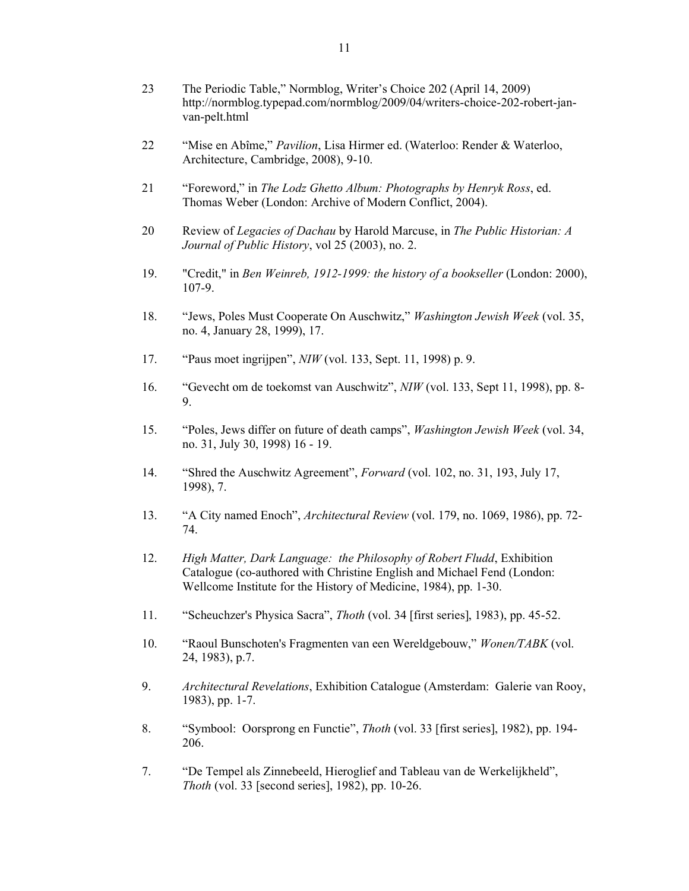- 23 The Periodic Table," Normblog, Writer's Choice 202 (April 14, 2009) http://normblog.typepad.com/normblog/2009/04/writers-choice-202-robert-janvan-pelt.html
- 22 "Mise en Abîme," *Pavilion*, Lisa Hirmer ed. (Waterloo: Render & Waterloo, Architecture, Cambridge, 2008), 9-10.
- 21 "Foreword," in *The Lodz Ghetto Album: Photographs by Henryk Ross*, ed. Thomas Weber (London: Archive of Modern Conflict, 2004).
- 20 Review of *Legacies of Dachau* by Harold Marcuse, in *The Public Historian: A Journal of Public History*, vol 25 (2003), no. 2.
- 19. "Credit," in *Ben Weinreb, 1912-1999: the history of a bookseller* (London: 2000), 107-9.
- 18. "Jews, Poles Must Cooperate On Auschwitz," *Washington Jewish Week* (vol. 35, no. 4, January 28, 1999), 17.
- 17. "Paus moet ingrijpen", *NIW* (vol. 133, Sept. 11, 1998) p. 9.
- 16. "Gevecht om de toekomst van Auschwitz", *NIW* (vol. 133, Sept 11, 1998), pp. 8- 9.
- 15. "Poles, Jews differ on future of death camps", *Washington Jewish Week* (vol. 34, no. 31, July 30, 1998) 16 - 19.
- 14. "Shred the Auschwitz Agreement", *Forward* (vol. 102, no. 31, 193, July 17, 1998), 7.
- 13. "A City named Enoch", *Architectural Review* (vol. 179, no. 1069, 1986), pp. 72- 74.
- 12. *High Matter, Dark Language: the Philosophy of Robert Fludd*, Exhibition Catalogue (co-authored with Christine English and Michael Fend (London: Wellcome Institute for the History of Medicine, 1984), pp. 1-30.
- 11. "Scheuchzer's Physica Sacra", *Thoth* (vol. 34 [first series], 1983), pp. 45-52.
- 10. "Raoul Bunschoten's Fragmenten van een Wereldgebouw," *Wonen/TABK* (vol. 24, 1983), p.7.
- 9. *Architectural Revelations*, Exhibition Catalogue (Amsterdam: Galerie van Rooy, 1983), pp. 1-7.
- 8. "Symbool: Oorsprong en Functie", *Thoth* (vol. 33 [first series], 1982), pp. 194- 206.
- 7. "De Tempel als Zinnebeeld, Hieroglief and Tableau van de Werkelijkheld", *Thoth* (vol. 33 [second series], 1982), pp. 10-26.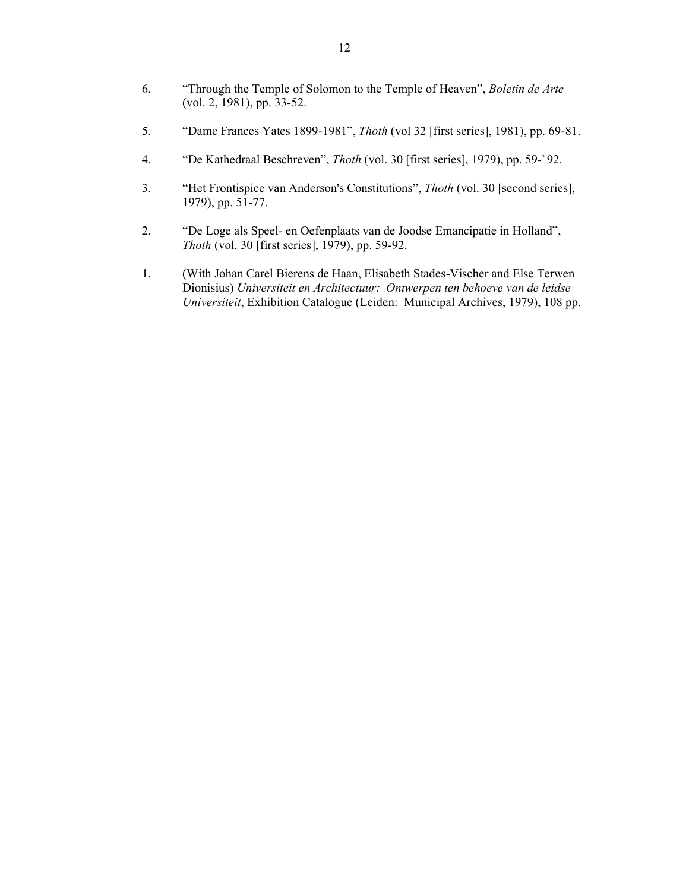- 6. "Through the Temple of Solomon to the Temple of Heaven", *Boletin de Arte*  (vol. 2, 1981), pp. 33-52.
- 5. "Dame Frances Yates 1899-1981", *Thoth* (vol 32 [first series], 1981), pp. 69-81.
- 4. "De Kathedraal Beschreven", *Thoth* (vol. 30 [first series], 1979), pp. 59-`92.
- 3. "Het Frontispice van Anderson's Constitutions", *Thoth* (vol. 30 [second series], 1979), pp. 51-77.
- 2. "De Loge als Speel- en Oefenplaats van de Joodse Emancipatie in Holland", *Thoth* (vol. 30 [first series], 1979), pp. 59-92.
- 1. (With Johan Carel Bierens de Haan, Elisabeth Stades-Vischer and Else Terwen Dionisius) *Universiteit en Architectuur: Ontwerpen ten behoeve van de leidse Universiteit*, Exhibition Catalogue (Leiden: Municipal Archives, 1979), 108 pp.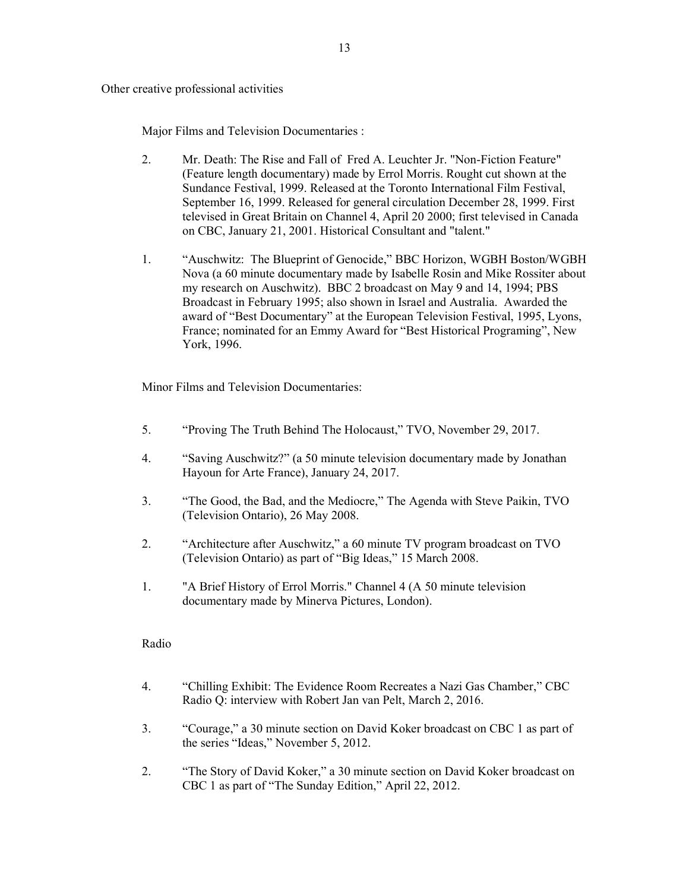Other creative professional activities

Major Films and Television Documentaries :

- 2. Mr. Death: The Rise and Fall of Fred A. Leuchter Jr. "Non-Fiction Feature" (Feature length documentary) made by Errol Morris. Rought cut shown at the Sundance Festival, 1999. Released at the Toronto International Film Festival, September 16, 1999. Released for general circulation December 28, 1999. First televised in Great Britain on Channel 4, April 20 2000; first televised in Canada on CBC, January 21, 2001. Historical Consultant and "talent."
- 1. "Auschwitz: The Blueprint of Genocide," BBC Horizon, WGBH Boston/WGBH Nova (a 60 minute documentary made by Isabelle Rosin and Mike Rossiter about my research on Auschwitz). BBC 2 broadcast on May 9 and 14, 1994; PBS Broadcast in February 1995; also shown in Israel and Australia. Awarded the award of "Best Documentary" at the European Television Festival, 1995, Lyons, France; nominated for an Emmy Award for "Best Historical Programing", New York, 1996.

Minor Films and Television Documentaries:

- 5. "Proving The Truth Behind The Holocaust," TVO, November 29, 2017.
- 4. "Saving Auschwitz?" (a 50 minute television documentary made by Jonathan Hayoun for Arte France), January 24, 2017.
- 3. "The Good, the Bad, and the Mediocre," The Agenda with Steve Paikin, TVO (Television Ontario), 26 May 2008.
- 2. "Architecture after Auschwitz," a 60 minute TV program broadcast on TVO (Television Ontario) as part of "Big Ideas," 15 March 2008.
- 1. "A Brief History of Errol Morris." Channel 4 (A 50 minute television documentary made by Minerva Pictures, London).

### Radio

- 4. "Chilling Exhibit: The Evidence Room Recreates a Nazi Gas Chamber," CBC Radio Q: interview with Robert Jan van Pelt, March 2, 2016.
- 3. "Courage," a 30 minute section on David Koker broadcast on CBC 1 as part of the series "Ideas," November 5, 2012.
- 2. "The Story of David Koker," a 30 minute section on David Koker broadcast on CBC 1 as part of "The Sunday Edition," April 22, 2012.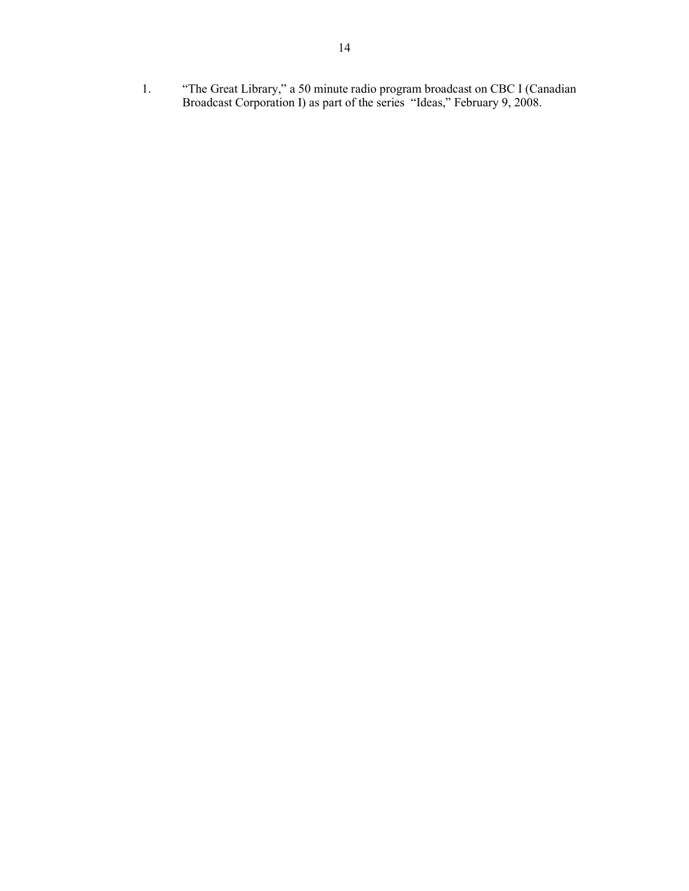1. "The Great Library," a 50 minute radio program broadcast on CBC I (Canadian Broadcast Corporation I) as part of the series "Ideas," February 9, 2008.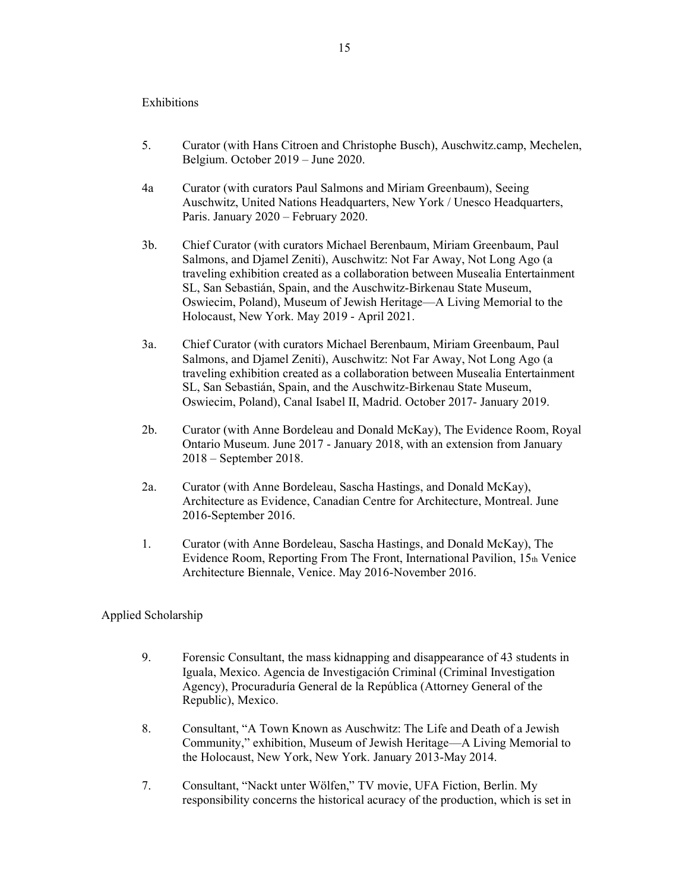#### Exhibitions

- 5. Curator (with Hans Citroen and Christophe Busch), Auschwitz.camp, Mechelen, Belgium. October 2019 – June 2020.
- 4a Curator (with curators Paul Salmons and Miriam Greenbaum), Seeing Auschwitz, United Nations Headquarters, New York / Unesco Headquarters, Paris. January 2020 – February 2020.
- 3b. Chief Curator (with curators Michael Berenbaum, Miriam Greenbaum, Paul Salmons, and Djamel Zeniti), Auschwitz: Not Far Away, Not Long Ago (a traveling exhibition created as a collaboration between Musealia Entertainment SL, San Sebastián, Spain, and the Auschwitz-Birkenau State Museum, Oswiecim, Poland), Museum of Jewish Heritage—A Living Memorial to the Holocaust, New York. May 2019 - April 2021.
- 3a. Chief Curator (with curators Michael Berenbaum, Miriam Greenbaum, Paul Salmons, and Djamel Zeniti), Auschwitz: Not Far Away, Not Long Ago (a traveling exhibition created as a collaboration between Musealia Entertainment SL, San Sebastián, Spain, and the Auschwitz-Birkenau State Museum, Oswiecim, Poland), Canal Isabel II, Madrid. October 2017- January 2019.
- 2b. Curator (with Anne Bordeleau and Donald McKay), The Evidence Room, Royal Ontario Museum. June 2017 - January 2018, with an extension from January 2018 – September 2018.
- 2a. Curator (with Anne Bordeleau, Sascha Hastings, and Donald McKay), Architecture as Evidence, Canadian Centre for Architecture, Montreal. June 2016-September 2016.
- 1. Curator (with Anne Bordeleau, Sascha Hastings, and Donald McKay), The Evidence Room, Reporting From The Front, International Pavilion, 15th Venice Architecture Biennale, Venice. May 2016-November 2016.

### Applied Scholarship

- 9. Forensic Consultant, the mass kidnapping and disappearance of 43 students in Iguala, Mexico. Agencia de Investigación Criminal (Criminal Investigation Agency), Procuraduría General de la República (Attorney General of the Republic), Mexico.
- 8. Consultant, "A Town Known as Auschwitz: The Life and Death of a Jewish Community," exhibition, Museum of Jewish Heritage—A Living Memorial to the Holocaust, New York, New York. January 2013-May 2014.
- 7. Consultant, "Nackt unter Wölfen," TV movie, UFA Fiction, Berlin. My responsibility concerns the historical acuracy of the production, which is set in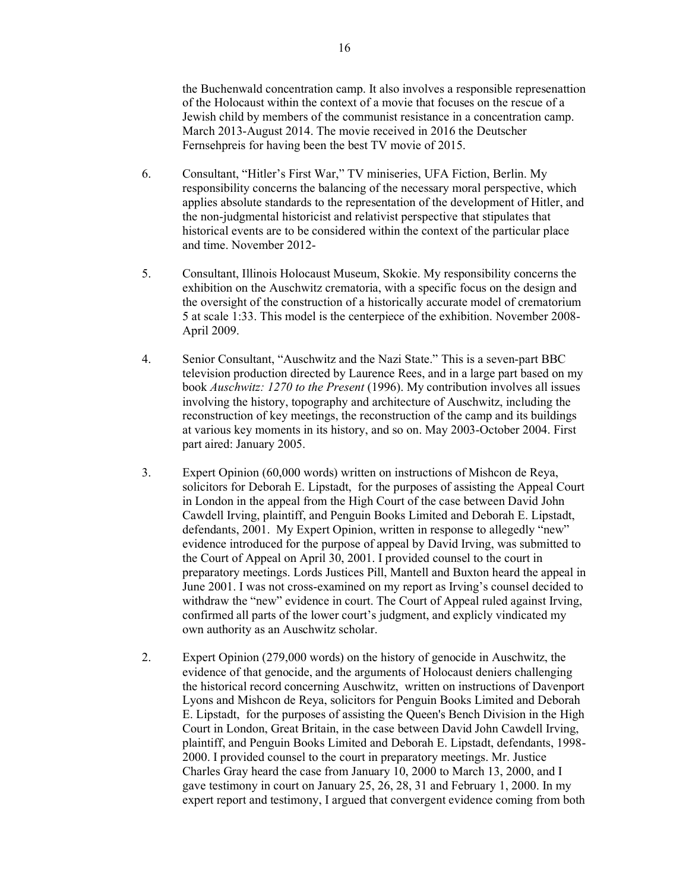the Buchenwald concentration camp. It also involves a responsible represenattion of the Holocaust within the context of a movie that focuses on the rescue of a Jewish child by members of the communist resistance in a concentration camp. March 2013-August 2014. The movie received in 2016 the Deutscher Fernsehpreis for having been the best TV movie of 2015.

- 6. Consultant, "Hitler's First War," TV miniseries, UFA Fiction, Berlin. My responsibility concerns the balancing of the necessary moral perspective, which applies absolute standards to the representation of the development of Hitler, and the non-judgmental historicist and relativist perspective that stipulates that historical events are to be considered within the context of the particular place and time. November 2012-
- 5. Consultant, Illinois Holocaust Museum, Skokie. My responsibility concerns the exhibition on the Auschwitz crematoria, with a specific focus on the design and the oversight of the construction of a historically accurate model of crematorium 5 at scale 1:33. This model is the centerpiece of the exhibition. November 2008- April 2009.
- 4. Senior Consultant, "Auschwitz and the Nazi State." This is a seven-part BBC television production directed by Laurence Rees, and in a large part based on my book *Auschwitz: 1270 to the Present* (1996). My contribution involves all issues involving the history, topography and architecture of Auschwitz, including the reconstruction of key meetings, the reconstruction of the camp and its buildings at various key moments in its history, and so on. May 2003-October 2004. First part aired: January 2005.
- 3. Expert Opinion (60,000 words) written on instructions of Mishcon de Reya, solicitors for Deborah E. Lipstadt, for the purposes of assisting the Appeal Court in London in the appeal from the High Court of the case between David John Cawdell Irving, plaintiff, and Penguin Books Limited and Deborah E. Lipstadt, defendants, 2001. My Expert Opinion, written in response to allegedly "new" evidence introduced for the purpose of appeal by David Irving, was submitted to the Court of Appeal on April 30, 2001. I provided counsel to the court in preparatory meetings. Lords Justices Pill, Mantell and Buxton heard the appeal in June 2001. I was not cross-examined on my report as Irving's counsel decided to withdraw the "new" evidence in court. The Court of Appeal ruled against Irving, confirmed all parts of the lower court's judgment, and explicly vindicated my own authority as an Auschwitz scholar.
- 2. Expert Opinion (279,000 words) on the history of genocide in Auschwitz, the evidence of that genocide, and the arguments of Holocaust deniers challenging the historical record concerning Auschwitz, written on instructions of Davenport Lyons and Mishcon de Reya, solicitors for Penguin Books Limited and Deborah E. Lipstadt, for the purposes of assisting the Queen's Bench Division in the High Court in London, Great Britain, in the case between David John Cawdell Irving, plaintiff, and Penguin Books Limited and Deborah E. Lipstadt, defendants, 1998- 2000. I provided counsel to the court in preparatory meetings. Mr. Justice Charles Gray heard the case from January 10, 2000 to March 13, 2000, and I gave testimony in court on January 25, 26, 28, 31 and February 1, 2000. In my expert report and testimony, I argued that convergent evidence coming from both